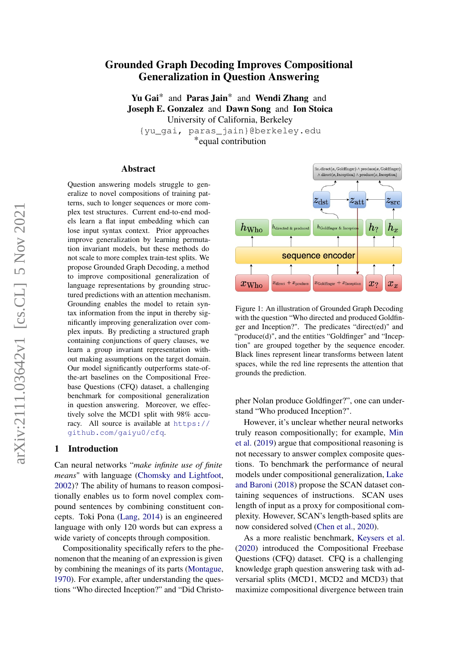# arXiv:2111.03642v1 [cs.CL] 5 Nov 2021 arXiv:2111.03642v1 [cs.CL] 5 Nov 2021

# Grounded Graph Decoding Improves Compositional Generalization in Question Answering

Yu Gai<sup>\*</sup> and Paras Jain<sup>\*</sup> and Wendi Zhang and Joseph E. Gonzalez and Dawn Song and Ion Stoica University of California, Berkeley

{yu\_gai, paras\_jain}@berkeley.edu \*equal contribution

### Abstract

Question answering models struggle to generalize to novel compositions of training patterns, such to longer sequences or more complex test structures. Current end-to-end models learn a flat input embedding which can lose input syntax context. Prior approaches improve generalization by learning permutation invariant models, but these methods do not scale to more complex train-test splits. We propose Grounded Graph Decoding, a method to improve compositional generalization of language representations by grounding structured predictions with an attention mechanism. Grounding enables the model to retain syntax information from the input in thereby significantly improving generalization over complex inputs. By predicting a structured graph containing conjunctions of query clauses, we learn a group invariant representation without making assumptions on the target domain. Our model significantly outperforms state-ofthe-art baselines on the Compositional Freebase Questions (CFQ) dataset, a challenging benchmark for compositional generalization in question answering. Moreover, we effectively solve the MCD1 split with 98% accuracy. All source is available at [https://](https://github.com/gaiyu0/cfq) [github.com/gaiyu0/cfq](https://github.com/gaiyu0/cfq).

### 1 Introduction

Can neural networks "*make infinite use of finite means*" with language [\(Chomsky and Lightfoot,](#page-8-0) [2002\)](#page-8-0)? The ability of humans to reason compositionally enables us to form novel complex compound sentences by combining constituent concepts. Toki Pona [\(Lang,](#page-9-0) [2014\)](#page-9-0) is an engineered language with only 120 words but can express a wide variety of concepts through composition.

Compositionality specifically refers to the phenomenon that the meaning of an expression is given by combining the meanings of its parts [\(Montague,](#page-9-1) [1970\)](#page-9-1). For example, after understanding the questions "Who directed Inception?" and "Did Christo-

<span id="page-0-0"></span>

Figure 1: An illustration of Grounded Graph Decoding with the question "Who directed and produced Goldfinger and Inception?". The predicates "direct(ed)" and "produce(d)", and the entities "Goldfinger" and "Inception" are grouped together by the sequence encoder. Black lines represent linear transforms between latent spaces, while the red line represents the attention that grounds the prediction.

pher Nolan produce Goldfinger?", one can understand "Who produced Inception?".

However, it's unclear whether neural networks truly reason compositionally; for example, [Min](#page-9-2) [et al.](#page-9-2) [\(2019\)](#page-9-2) argue that compositional reasoning is not necessary to answer complex composite questions. To benchmark the performance of neural models under compositional generalization, [Lake](#page-8-1) [and Baroni](#page-8-1) [\(2018\)](#page-8-1) propose the SCAN dataset containing sequences of instructions. SCAN uses length of input as a proxy for compositional complexity. However, SCAN's length-based splits are now considered solved [\(Chen et al.,](#page-8-2) [2020\)](#page-8-2).

As a more realistic benchmark, [Keysers et al.](#page-8-3) [\(2020\)](#page-8-3) introduced the Compositional Freebase Questions (CFQ) dataset. CFQ is a challenging knowledge graph question answering task with adversarial splits (MCD1, MCD2 and MCD3) that maximize compositional divergence between train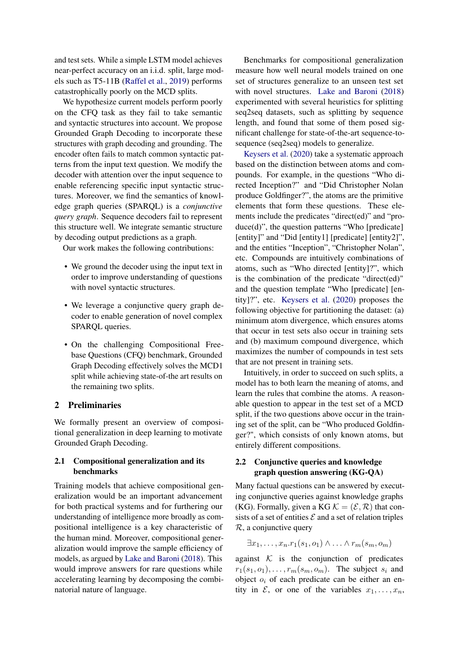and test sets. While a simple LSTM model achieves near-perfect accuracy on an i.i.d. split, large models such as T5-11B [\(Raffel et al.,](#page-9-3) [2019\)](#page-9-3) performs catastrophically poorly on the MCD splits.

We hypothesize current models perform poorly on the CFQ task as they fail to take semantic and syntactic structures into account. We propose Grounded Graph Decoding to incorporate these structures with graph decoding and grounding. The encoder often fails to match common syntactic patterns from the input text question. We modify the decoder with attention over the input sequence to enable referencing specific input syntactic structures. Moreover, we find the semantics of knowledge graph queries (SPARQL) is a *conjunctive query graph*. Sequence decoders fail to represent this structure well. We integrate semantic structure by decoding output predictions as a graph.

Our work makes the following contributions:

- We ground the decoder using the input text in order to improve understanding of questions with novel syntactic structures.
- We leverage a conjunctive query graph decoder to enable generation of novel complex SPARQL queries.
- On the challenging Compositional Freebase Questions (CFQ) benchmark, Grounded Graph Decoding effectively solves the MCD1 split while achieving state-of-the art results on the remaining two splits.

# <span id="page-1-0"></span>2 Preliminaries

We formally present an overview of compositional generalization in deep learning to motivate Grounded Graph Decoding.

# 2.1 Compositional generalization and its benchmarks

Training models that achieve compositional generalization would be an important advancement for both practical systems and for furthering our understanding of intelligence more broadly as compositional intelligence is a key characteristic of the human mind. Moreover, compositional generalization would improve the sample efficiency of models, as argued by [Lake and Baroni](#page-8-1) [\(2018\)](#page-8-1). This would improve answers for rare questions while accelerating learning by decomposing the combinatorial nature of language.

Benchmarks for compositional generalization measure how well neural models trained on one set of structures generalize to an unseen test set with novel structures. [Lake and Baroni](#page-8-1) [\(2018\)](#page-8-1) experimented with several heuristics for splitting seq2seq datasets, such as splitting by sequence length, and found that some of them posed significant challenge for state-of-the-art sequence-tosequence (seq2seq) models to generalize.

[Keysers et al.](#page-8-3) [\(2020\)](#page-8-3) take a systematic approach based on the distinction between atoms and compounds. For example, in the questions "Who directed Inception?" and "Did Christopher Nolan produce Goldfinger?", the atoms are the primitive elements that form these questions. These elements include the predicates "direct(ed)" and "produce(d)", the question patterns "Who [predicate] [entity]" and "Did [entity1] [predicate] [entity2]", and the entities "Inception", "Christopher Nolan", etc. Compounds are intuitively combinations of atoms, such as "Who directed [entity]?", which is the combination of the predicate "direct(ed)" and the question template "Who [predicate] [entity]?", etc. [Keysers et al.](#page-8-3) [\(2020\)](#page-8-3) proposes the following objective for partitioning the dataset: (a) minimum atom divergence, which ensures atoms that occur in test sets also occur in training sets and (b) maximum compound divergence, which maximizes the number of compounds in test sets that are not present in training sets.

Intuitively, in order to succeed on such splits, a model has to both learn the meaning of atoms, and learn the rules that combine the atoms. A reasonable question to appear in the test set of a MCD split, if the two questions above occur in the training set of the split, can be "Who produced Goldfinger?", which consists of only known atoms, but entirely different compositions.

# 2.2 Conjunctive queries and knowledge graph question answering (KG-QA)

Many factual questions can be answered by executing conjunctive queries against knowledge graphs (KG). Formally, given a KG  $\mathcal{K} = (\mathcal{E}, \mathcal{R})$  that consists of a set of entities  $\mathcal E$  and a set of relation triples  $\mathcal{R}$ , a conjunctive query

$$
\exists x_1, \ldots, x_n.r_1(s_1, o_1) \wedge \ldots \wedge r_m(s_m, o_m)
$$

against  $K$  is the conjunction of predicates  $r_1(s_1, o_1), \ldots, r_m(s_m, o_m)$ . The subject  $s_i$  and object  $o_i$  of each predicate can be either an entity in  $\mathcal{E}$ , or one of the variables  $x_1, \ldots, x_n$ ,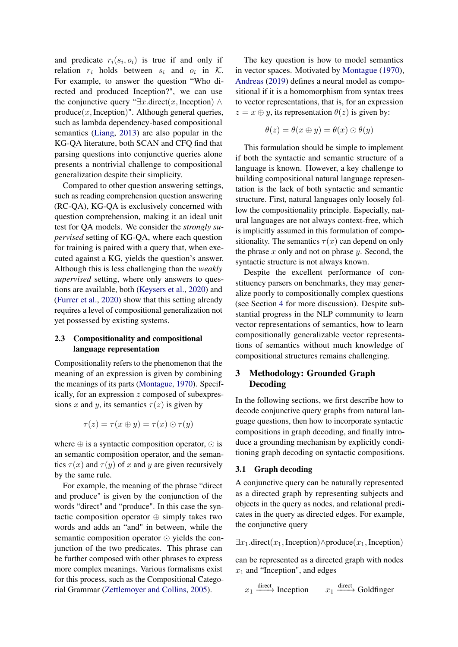and predicate  $r_i(s_i, o_i)$  is true if and only if relation  $r_i$  holds between  $s_i$  and  $o_i$  in K. For example, to answer the question "Who directed and produced Inception?", we can use the conjunctive query " $\exists x$ .direct(x, Inception) ∧  $produce(x, Inception)$ ". Although general queries, such as lambda dependency-based compositional semantics [\(Liang,](#page-9-4) [2013\)](#page-9-4) are also popular in the KG-QA literature, both SCAN and CFQ find that parsing questions into conjunctive queries alone presents a nontrivial challenge to compositional generalization despite their simplicity.

Compared to other question answering settings, such as reading comprehension question answering (RC-QA), KG-QA is exclusively concerned with question comprehension, making it an ideal unit test for QA models. We consider the *strongly supervised* setting of KG-QA, where each question for training is paired with a query that, when executed against a KG, yields the question's answer. Although this is less challenging than the *weakly supervised* setting, where only answers to questions are available, both [\(Keysers et al.,](#page-8-3) [2020\)](#page-8-3) and [\(Furrer et al.,](#page-8-4) [2020\)](#page-8-4) show that this setting already requires a level of compositional generalization not yet possessed by existing systems.

### 2.3 Compositionality and compositional language representation

Compositionality refers to the phenomenon that the meaning of an expression is given by combining the meanings of its parts [\(Montague,](#page-9-1) [1970\)](#page-9-1). Specifically, for an expression z composed of subexpressions x and y, its semantics  $\tau(z)$  is given by

$$
\tau(z) = \tau(x \oplus y) = \tau(x) \odot \tau(y)
$$

where  $\oplus$  is a syntactic composition operator,  $\odot$  is an semantic composition operator, and the semantics  $\tau(x)$  and  $\tau(y)$  of x and y are given recursively by the same rule.

For example, the meaning of the phrase "direct and produce" is given by the conjunction of the words "direct" and "produce". In this case the syntactic composition operator ⊕ simply takes two words and adds an "and" in between, while the semantic composition operator  $\odot$  yields the conjunction of the two predicates. This phrase can be further composed with other phrases to express more complex meanings. Various formalisms exist for this process, such as the Compositional Categorial Grammar [\(Zettlemoyer and Collins,](#page-9-5) [2005\)](#page-9-5).

The key question is how to model semantics in vector spaces. Motivated by [Montague](#page-9-1) [\(1970\)](#page-9-1), [Andreas](#page-8-5) [\(2019\)](#page-8-5) defines a neural model as compositional if it is a homomorphism from syntax trees to vector representations, that is, for an expression  $z = x \oplus y$ , its representation  $\theta(z)$  is given by:

$$
\theta(z) = \theta(x \oplus y) = \theta(x) \odot \theta(y)
$$

This formulation should be simple to implement if both the syntactic and semantic structure of a language is known. However, a key challenge to building compositional natural language representation is the lack of both syntactic and semantic structure. First, natural languages only loosely follow the compositionality principle. Especially, natural languages are not always context-free, which is implicitly assumed in this formulation of compositionality. The semantics  $\tau(x)$  can depend on only the phrase  $x$  only and not on phrase  $y$ . Second, the syntactic structure is not always known.

Despite the excellent performance of constituency parsers on benchmarks, they may generalize poorly to compositionally complex questions (see Section [4](#page-4-0) for more discussion). Despite substantial progress in the NLP community to learn vector representations of semantics, how to learn compositionally generalizable vector representations of semantics without much knowledge of compositional structures remains challenging.

# <span id="page-2-0"></span>3 Methodology: Grounded Graph Decoding

In the following sections, we first describe how to decode conjunctive query graphs from natural language questions, then how to incorporate syntactic compositions in graph decoding, and finally introduce a grounding mechanism by explicitly conditioning graph decoding on syntactic compositions.

### <span id="page-2-1"></span>3.1 Graph decoding

A conjunctive query can be naturally represented as a directed graph by representing subjects and objects in the query as nodes, and relational predicates in the query as directed edges. For example, the conjunctive query

 $\exists x_1$ .direct(x<sub>1</sub>, Inception)∧produce(x<sub>1</sub>, Inception)

can be represented as a directed graph with nodes  $x_1$  and "Inception", and edges

 $x_1 \xrightarrow{\text{direct}} \text{Inception} \qquad x_1 \xrightarrow{\text{direct}} \text{Goldfinger}$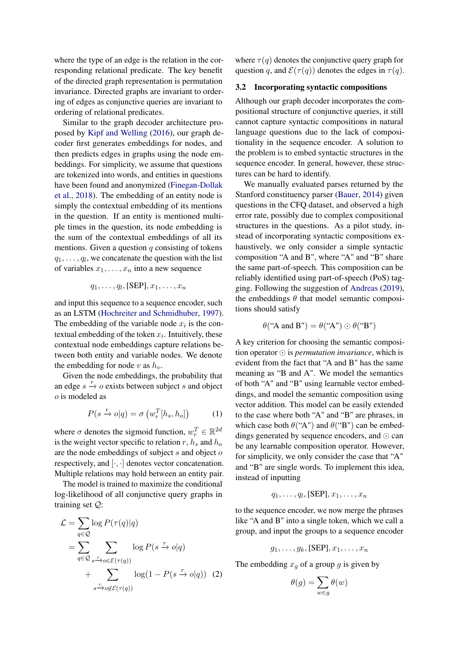where the type of an edge is the relation in the corresponding relational predicate. The key benefit of the directed graph representation is permutation invariance. Directed graphs are invariant to ordering of edges as conjunctive queries are invariant to ordering of relational predicates.

Similar to the graph decoder architecture proposed by [Kipf and Welling](#page-8-6) [\(2016\)](#page-8-6), our graph decoder first generates embeddings for nodes, and then predicts edges in graphs using the node embeddings. For simplicity, we assume that questions are tokenized into words, and entities in questions have been found and anonymized [\(Finegan-Dollak](#page-8-7) [et al.,](#page-8-7) [2018\)](#page-8-7). The embedding of an entity node is simply the contextual embedding of its mentions in the question. If an entity is mentioned multiple times in the question, its node embedding is the sum of the contextual embeddings of all its mentions. Given a question  $q$  consisting of tokens  $q_1, \ldots, q_l$ , we concatenate the question with the list of variables  $x_1, \ldots, x_n$  into a new sequence

$$
q_1, \ldots, q_l, [\text{SEP}], x_1, \ldots, x_n
$$

and input this sequence to a sequence encoder, such as an LSTM [\(Hochreiter and Schmidhuber,](#page-8-8) [1997\)](#page-8-8). The embedding of the variable node  $x_i$  is the contextual embedding of the token  $x_i$ . Intuitively, these contextual node embeddings capture relations between both entity and variable nodes. We denote the embedding for node v as  $h_v$ .

Given the node embeddings, the probability that an edge  $s \stackrel{r}{\rightarrow} o$  exists between subject s and object o is modeled as

$$
P(s \xrightarrow{r} o|q) = \sigma\left(w_r^T[h_s, h_o]\right) \tag{1}
$$

where  $\sigma$  denotes the sigmoid function,  $w_r^T \in \mathbb{R}^{2d}$ is the weight vector specific to relation r,  $h_s$  and  $h_o$ are the node embeddings of subject  $s$  and object  $o$ respectively, and  $[\cdot, \cdot]$  denotes vector concatenation. Multiple relations may hold between an entity pair.

The model is trained to maximize the conditional log-likelihood of all conjunctive query graphs in training set Q:

$$
\mathcal{L} = \sum_{q \in \mathcal{Q}} \log P(\tau(q)|q)
$$
  
= 
$$
\sum_{q \in \mathcal{Q}} \sum_{s \xrightarrow{r} o \in \mathcal{E}(\tau(q))} \log P(s \xrightarrow{r} o|q)
$$
  
+ 
$$
\sum_{s \xrightarrow{r} o \notin \mathcal{E}(\tau(q))} \log(1 - P(s \xrightarrow{r} o|q)) \quad (2)
$$

where  $\tau(q)$  denotes the conjunctive query graph for question q, and  $\mathcal{E}(\tau(q))$  denotes the edges in  $\tau(q)$ .

### <span id="page-3-1"></span>3.2 Incorporating syntactic compositions

Although our graph decoder incorporates the compositional structure of conjunctive queries, it still cannot capture syntactic compositions in natural language questions due to the lack of compositionality in the sequence encoder. A solution to the problem is to embed syntactic structures in the sequence encoder. In general, however, these structures can be hard to identify.

We manually evaluated parses returned by the Stanford constituency parser [\(Bauer,](#page-8-9) [2014\)](#page-8-9) given questions in the CFQ dataset, and observed a high error rate, possibly due to complex compositional structures in the questions. As a pilot study, instead of incorporating syntactic compositions exhaustively, we only consider a simple syntactic composition "A and B", where "A" and "B" share the same part-of-speech. This composition can be reliably identified using part-of-speech (PoS) tagging. Following the suggestion of [Andreas](#page-8-5) [\(2019\)](#page-8-5), the embeddings  $\theta$  that model semantic compositions should satisfy

$$
\theta
$$
 ("A and B") =  $\theta$  ("A")  $\odot \theta$  ("B")

A key criterion for choosing the semantic composition operator  $\odot$  is *permutation invariance*, which is evident from the fact that "A and B" has the same meaning as "B and A". We model the semantics of both "A" and "B" using learnable vector embeddings, and model the semantic composition using vector addition. This model can be easily extended to the case where both "A" and "B" are phrases, in which case both  $\theta$ ("A") and  $\theta$ ("B") can be embeddings generated by sequence encoders, and  $\odot$  can be any learnable composition operator. However, for simplicity, we only consider the case that "A" and "B" are single words. To implement this idea, instead of inputting

$$
q_1, \ldots, q_l, [\text{SEP}], x_1, \ldots, x_n
$$

to the sequence encoder, we now merge the phrases like "A and B" into a single token, which we call a group, and input the groups to a sequence encoder

$$
g_1, \ldots, g_k, [\text{SEP}], x_1, \ldots, x_n
$$

<span id="page-3-0"></span>The embedding  $x_q$  of a group g is given by

$$
\theta(g) = \sum_{w \in g} \theta(w)
$$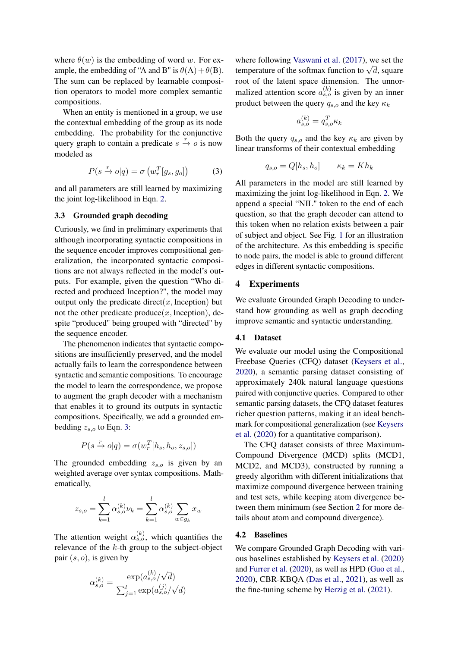where  $\theta(w)$  is the embedding of word w. For example, the embedding of "A and B" is  $\theta(A) + \theta(B)$ . The sum can be replaced by learnable composition operators to model more complex semantic compositions.

When an entity is mentioned in a group, we use the contextual embedding of the group as its node embedding. The probability for the conjunctive query graph to contain a predicate  $s \stackrel{r}{\rightarrow} o$  is now modeled as

<span id="page-4-1"></span>
$$
P(s \xrightarrow{r} o|q) = \sigma(w_r^T[g_s, g_o]) \tag{3}
$$

and all parameters are still learned by maximizing the joint log-likelihood in Eqn. [2.](#page-3-0)

### 3.3 Grounded graph decoding

Curiously, we find in preliminary experiments that although incorporating syntactic compositions in the sequence encoder improves compositional generalization, the incorporated syntactic compositions are not always reflected in the model's outputs. For example, given the question "Who directed and produced Inception?", the model may output only the predicate direct(x, Inception) but not the other predicate produce $(x, \text{Inception})$ , despite "produced" being grouped with "directed" by the sequence encoder.

The phenomenon indicates that syntactic compositions are insufficiently preserved, and the model actually fails to learn the correspondence between syntactic and semantic compositions. To encourage the model to learn the correspondence, we propose to augment the graph decoder with a mechanism that enables it to ground its outputs in syntactic compositions. Specifically, we add a grounded embedding  $z_{s,o}$  to Eqn. [3:](#page-4-1)

$$
P(s \xrightarrow{r} o|q) = \sigma(w_r^T[h_s, h_o, z_{s,o}])
$$

The grounded embedding  $z_{s,o}$  is given by an weighted average over syntax compositions. Mathematically,

$$
z_{s,o} = \sum_{k=1}^{l} \alpha_{s,o}^{(k)} \nu_k = \sum_{k=1}^{l} \alpha_{s,o}^{(k)} \sum_{w \in g_k} x_w
$$

The attention weight  $\alpha_{s,o}^{(k)}$ , which quantifies the relevance of the  $k$ -th group to the subject-object pair  $(s, o)$ , is given by

$$
\alpha_{s,o}^{(k)} = \frac{\exp(a_{s,o}^{(k)}/\sqrt{d})}{\sum_{j=1}^{l} \exp(a_{s,o}^{(j)}/\sqrt{d})}
$$

where following [Vaswani et al.](#page-9-6) [\(2017\)](#page-9-6), we set the where following vaswam et al. (2017), we set the temperature of the softmax function to  $\sqrt{d}$ , square root of the latent space dimension. The unnormalized attention score  $a_{s,o}^{(k)}$  is given by an inner product between the query  $q_{s,o}$  and the key  $\kappa_k$ 

$$
a_{s,o}^{(k)} = q_{s,o}^T \kappa_k
$$

Both the query  $q_{s,o}$  and the key  $\kappa_k$  are given by linear transforms of their contextual embedding

$$
q_{s,o} = Q[h_s, h_o] \qquad \kappa_k = Kh_k
$$

All parameters in the model are still learned by maximizing the joint log-likelihood in Eqn. [2.](#page-3-0) We append a special "NIL" token to the end of each question, so that the graph decoder can attend to this token when no relation exists between a pair of subject and object. See Fig. [1](#page-0-0) for an illustration of the architecture. As this embedding is specific to node pairs, the model is able to ground different edges in different syntactic compositions.

### <span id="page-4-0"></span>4 Experiments

We evaluate Grounded Graph Decoding to understand how grounding as well as graph decoding improve semantic and syntactic understanding.

### 4.1 Dataset

We evaluate our model using the Compositional Freebase Queries (CFQ) dataset [\(Keysers et al.,](#page-8-3) [2020\)](#page-8-3), a semantic parsing dataset consisting of approximately 240k natural language questions paired with conjunctive queries. Compared to other semantic parsing datasets, the CFQ dataset features richer question patterns, making it an ideal benchmark for compositional generalization (see [Keysers](#page-8-3) [et al.](#page-8-3) [\(2020\)](#page-8-3) for a quantitative comparison).

The CFQ dataset consists of three Maximum-Compound Divergence (MCD) splits (MCD1, MCD2, and MCD3), constructed by running a greedy algorithm with different initializations that maximize compound divergence between training and test sets, while keeping atom divergence between them minimum (see Section [2](#page-1-0) for more details about atom and compound divergence).

### 4.2 Baselines

We compare Grounded Graph Decoding with various baselines established by [Keysers et al.](#page-8-3) [\(2020\)](#page-8-3) and [Furrer et al.](#page-8-4) [\(2020\)](#page-8-4), as well as HPD [\(Guo et al.,](#page-8-10) [2020\)](#page-8-10), CBR-KBQA [\(Das et al.,](#page-8-11) [2021\)](#page-8-11), as well as the fine-tuning scheme by [Herzig et al.](#page-8-12) [\(2021\)](#page-8-12).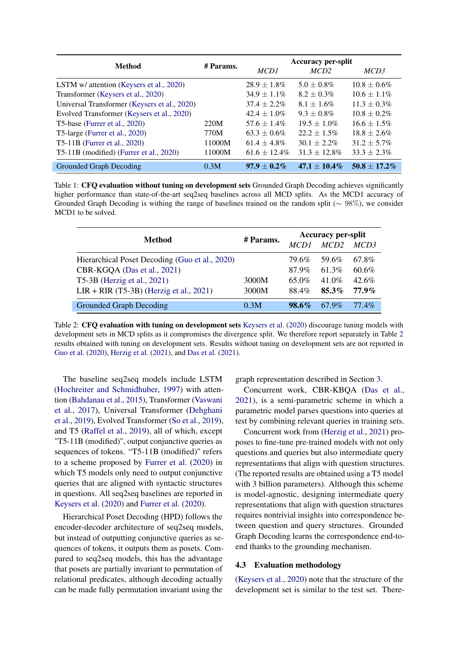<span id="page-5-1"></span>

| Method                                       | # Params. | <b>Accuracy per-split</b> |                   |                  |
|----------------------------------------------|-----------|---------------------------|-------------------|------------------|
|                                              |           | MCD1                      | MCD2              | MCD3             |
| LSTM w/ attention (Keysers et al., 2020)     |           | $28.9 \pm 1.8\%$          | $5.0 \pm 0.8\%$   | $10.8 \pm 0.6\%$ |
| Transformer (Keysers et al., 2020)           |           | $34.9 \pm 1.1\%$          | $8.2 \pm 0.3\%$   | $10.6 \pm 1.1\%$ |
| Universal Transformer (Keysers et al., 2020) |           | $37.4 \pm 2.2\%$          | $8.1 + 1.6\%$     | $11.3 \pm 0.3\%$ |
| Evolved Transformer (Keysers et al., 2020)   |           | $42.4 + 1.0\%$            | $9.3 \pm 0.8\%$   | $10.8 \pm 0.2\%$ |
| T5-base (Furrer et al., 2020)                | 220M      | $57.6 + 1.4\%$            | $19.5 + 1.0\%$    | $16.6 + 1.5\%$   |
| T5-large (Furrer et al., 2020)               | 770M      | $63.3 \pm 0.6\%$          | $22.2 + 1.5\%$    | $18.8 \pm 2.6\%$ |
| T5-11B (Furrer et al., 2020)                 | 11000M    | $61.4 + 4.8\%$            | $30.1 + 2.2\%$    | $31.2 \pm 5.7\%$ |
| T5-11B (modified) (Furrer et al., 2020)      | 11000M    | $61.6 \pm 12.4\%$         | $31.3 \pm 12.8\%$ | $33.3 + 2.3\%$   |
| Grounded Graph Decoding                      | 0.3M      | $97.9 \pm 0.2\%$          | $47.1 \pm 10.4\%$ | $50.8 + 17.2\%$  |

Table 1: CFQ evaluation without tuning on development sets Grounded Graph Decoding achieves significantly higher performance than state-of-the-art seq2seq baselines across all MCD splits. As the MCD1 accuracy of Grounded Graph Decoding is withing the range of baselines trained on the random split (∼ 98%), we consider MCD1 to be solved.

<span id="page-5-0"></span>

| Method                                         | # Params. | <b>Accuracy per-split</b> |          |          |
|------------------------------------------------|-----------|---------------------------|----------|----------|
|                                                |           |                           | MCD2     | MCD3     |
| Hierarchical Poset Decoding (Guo et al., 2020) |           | 79.6%                     | 59.6%    | 67.8%    |
| CBR-KGQA (Das et al., 2021)                    |           | 87.9%                     | 61.3%    | 60.6%    |
| T5-3B (Herzig et al., 2021)                    | 3000M     | $65.0\%$                  | $41.0\%$ | $42.6\%$ |
| $LIR + RIR$ (T5-3B) (Herzig et al., 2021)      | 3000M     | 88.4%                     | 85.3%    | $77.9\%$ |
| <b>Grounded Graph Decoding</b>                 | 0.3M      | $98.6\%$                  | 67.9%    | $77.4\%$ |

Table 2: CFQ evaluation with tuning on development sets [Keysers et al.](#page-8-3) [\(2020\)](#page-8-3) discourage tuning models with development sets in MCD splits as it compromises the divergence split. We therefore report separately in Table [2](#page-5-0) results obtained with tuning on development sets. Results without tuning on development sets are not reported in [Guo et al.](#page-8-10) [\(2020\)](#page-8-10), [Herzig et al.](#page-8-12) [\(2021\)](#page-8-12), and [Das et al.](#page-8-11) [\(2021\)](#page-8-11).

The baseline seq2seq models include LSTM [\(Hochreiter and Schmidhuber,](#page-8-8) [1997\)](#page-8-8) with attention [\(Bahdanau et al.,](#page-8-13) [2015\)](#page-8-13), Transformer [\(Vaswani](#page-9-6) [et al.,](#page-9-6) [2017\)](#page-9-6), Universal Transformer [\(Dehghani](#page-8-14) [et al.,](#page-8-14) [2019\)](#page-8-14), Evolved Transformer [\(So et al.,](#page-9-7) [2019\)](#page-9-7), and T5 [\(Raffel et al.,](#page-9-3) [2019\)](#page-9-3), all of which, except "T5-11B (modified)", output conjunctive queries as sequences of tokens. "T5-11B (modified)" refers to a scheme proposed by [Furrer et al.](#page-8-4) [\(2020\)](#page-8-4) in which T5 models only need to output conjunctive queries that are aligned with syntactic structures in questions. All seq2seq baselines are reported in [Keysers et al.](#page-8-3) [\(2020\)](#page-8-3) and [Furrer et al.](#page-8-4) [\(2020\)](#page-8-4).

Hierarchical Poset Decoding (HPD) follows the encoder-decoder architecture of seq2seq models, but instead of outputting conjunctive queries as sequences of tokens, it outputs them as posets. Compared to seq2seq models, this has the advantage that posets are partially invariant to permutation of relational predicates, although decoding actually can be made fully permutation invariant using the

graph representation described in Section [3.](#page-2-0)

Concurrent work, CBR-KBQA [\(Das et al.,](#page-8-11) [2021\)](#page-8-11), is a semi-parametric scheme in which a parametric model parses questions into queries at test by combining relevant queries in training sets.

Concurrent work from [\(Herzig et al.,](#page-8-12) [2021\)](#page-8-12) proposes to fine-tune pre-trained models with not only questions and queries but also intermediate query representations that align with question structures. (The reported results are obtained using a T5 model with 3 billion parameters). Although this scheme is model-agnostic, designing intermediate query representations that align with question structures requires nontrivial insights into correspondence between question and query structures. Grounded Graph Decoding learns the correspondence end-toend thanks to the grounding mechanism.

### 4.3 Evaluation methodology

[\(Keysers et al.,](#page-8-3) [2020\)](#page-8-3) note that the structure of the development set is similar to the test set. There-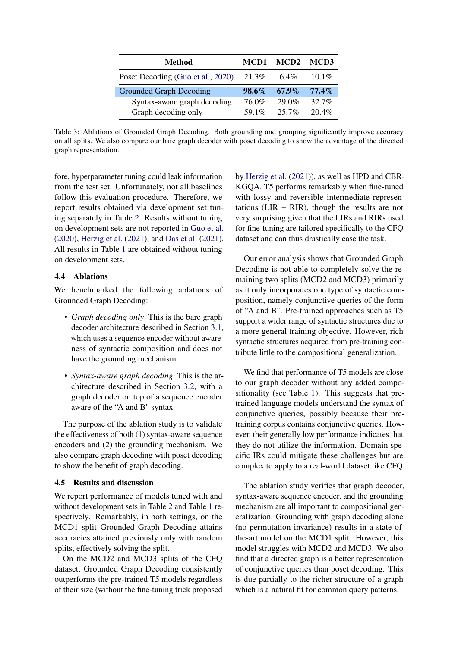<span id="page-6-0"></span>

| Method                            | MCD1     | MCD2     | MCD3     |  |
|-----------------------------------|----------|----------|----------|--|
| Poset Decoding (Guo et al., 2020) | 21.3%    | 6.4%     | $10.1\%$ |  |
| <b>Grounded Graph Decoding</b>    | $98.6\%$ | $67.9\%$ | $77.4\%$ |  |
| Syntax-aware graph decoding       | 76.0%    | 29.0%    | $32.7\%$ |  |
| Graph decoding only               | 59 1\%   | $257\%$  | $20.4\%$ |  |

Table 3: Ablations of Grounded Graph Decoding. Both grounding and grouping significantly improve accuracy on all splits. We also compare our bare graph decoder with poset decoding to show the advantage of the directed graph representation.

fore, hyperparameter tuning could leak information from the test set. Unfortunately, not all baselines follow this evaluation procedure. Therefore, we report results obtained via development set tuning separately in Table [2.](#page-5-0) Results without tuning on development sets are not reported in [Guo et al.](#page-8-10) [\(2020\)](#page-8-10), [Herzig et al.](#page-8-12) [\(2021\)](#page-8-12), and [Das et al.](#page-8-11) [\(2021\)](#page-8-11). All results in Table [1](#page-5-1) are obtained without tuning on development sets.

### 4.4 Ablations

We benchmarked the following ablations of Grounded Graph Decoding:

- *Graph decoding only* This is the bare graph decoder architecture described in Section [3.1,](#page-2-1) which uses a sequence encoder without awareness of syntactic composition and does not have the grounding mechanism.
- *Syntax-aware graph decoding* This is the architecture described in Section [3.2,](#page-3-1) with a graph decoder on top of a sequence encoder aware of the "A and B" syntax.

The purpose of the ablation study is to validate the effectiveness of both (1) syntax-aware sequence encoders and (2) the grounding mechanism. We also compare graph decoding with poset decoding to show the benefit of graph decoding.

### 4.5 Results and discussion

We report performance of models tuned with and without development sets in Table [2](#page-5-0) and Table [1](#page-5-1) respectively. Remarkably, in both settings, on the MCD1 split Grounded Graph Decoding attains accuracies attained previously only with random splits, effectively solving the split.

On the MCD2 and MCD3 splits of the CFQ dataset, Grounded Graph Decoding consistently outperforms the pre-trained T5 models regardless of their size (without the fine-tuning trick proposed by [Herzig et al.](#page-8-12) [\(2021\)](#page-8-12)), as well as HPD and CBR-KGQA. T5 performs remarkably when fine-tuned with lossy and reversible intermediate representations (LIR  $+$  RIR), though the results are not very surprising given that the LIRs and RIRs used for fine-tuning are tailored specifically to the CFQ dataset and can thus drastically ease the task.

Our error analysis shows that Grounded Graph Decoding is not able to completely solve the remaining two splits (MCD2 and MCD3) primarily as it only incorporates one type of syntactic composition, namely conjunctive queries of the form of "A and B". Pre-trained approaches such as T5 support a wider range of syntactic structures due to a more general training objective. However, rich syntactic structures acquired from pre-training contribute little to the compositional generalization.

We find that performance of T5 models are close to our graph decoder without any added compositionality (see Table [1\)](#page-5-1). This suggests that pretrained language models understand the syntax of conjunctive queries, possibly because their pretraining corpus contains conjunctive queries. However, their generally low performance indicates that they do not utilize the information. Domain specific IRs could mitigate these challenges but are complex to apply to a real-world dataset like CFQ.

The ablation study verifies that graph decoder, syntax-aware sequence encoder, and the grounding mechanism are all important to compositional generalization. Grounding with graph decoding alone (no permutation invariance) results in a state-ofthe-art model on the MCD1 split. However, this model struggles with MCD2 and MCD3. We also find that a directed graph is a better representation of conjunctive queries than poset decoding. This is due partially to the richer structure of a graph which is a natural fit for common query patterns.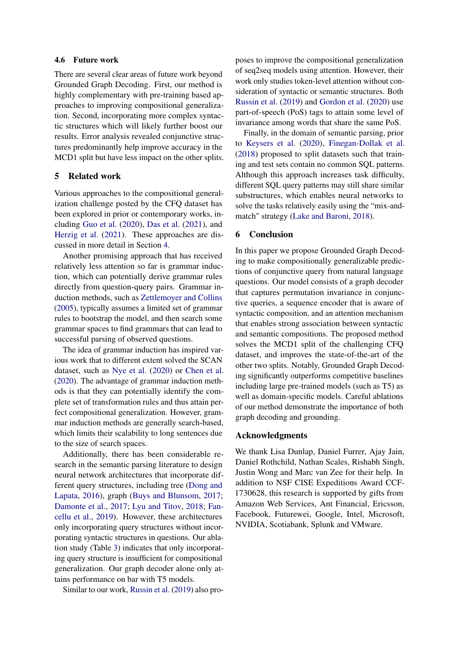### 4.6 Future work

There are several clear areas of future work beyond Grounded Graph Decoding. First, our method is highly complementary with pre-training based approaches to improving compositional generalization. Second, incorporating more complex syntactic structures which will likely further boost our results. Error analysis revealed conjunctive structures predominantly help improve accuracy in the MCD1 split but have less impact on the other splits.

### 5 Related work

Various approaches to the compositional generalization challenge posted by the CFQ dataset has been explored in prior or contemporary works, including [Guo et al.](#page-8-10) [\(2020\)](#page-8-10), [Das et al.](#page-8-11) [\(2021\)](#page-8-11), and [Herzig et al.](#page-8-12) [\(2021\)](#page-8-12). These approaches are discussed in more detail in Section [4.](#page-4-0)

Another promising approach that has received relatively less attention so far is grammar induction, which can potentially derive grammar rules directly from question-query pairs. Grammar induction methods, such as [Zettlemoyer and Collins](#page-9-5) [\(2005\)](#page-9-5), typically assumes a limited set of grammar rules to bootstrap the model, and then search some grammar spaces to find grammars that can lead to successful parsing of observed questions.

The idea of grammar induction has inspired various work that to different extent solved the SCAN dataset, such as [Nye et al.](#page-9-8) [\(2020\)](#page-9-8) or [Chen et al.](#page-8-2) [\(2020\)](#page-8-2). The advantage of grammar induction methods is that they can potentially identify the complete set of transformation rules and thus attain perfect compositional generalization. However, grammar induction methods are generally search-based, which limits their scalability to long sentences due to the size of search spaces.

Additionally, there has been considerable research in the semantic parsing literature to design neural network architectures that incorporate different query structures, including tree [\(Dong and](#page-8-15) [Lapata,](#page-8-15) [2016\)](#page-8-15), graph [\(Buys and Blunsom,](#page-8-16) [2017;](#page-8-16) [Damonte et al.,](#page-8-17) [2017;](#page-8-17) [Lyu and Titov,](#page-9-9) [2018;](#page-9-9) [Fan](#page-8-18)[cellu et al.,](#page-8-18) [2019\)](#page-8-18). However, these architectures only incorporating query structures without incorporating syntactic structures in questions. Our ablation study (Table [3\)](#page-6-0) indicates that only incorporating query structure is insufficient for compositional generalization. Our graph decoder alone only attains performance on bar with T5 models.

Similar to our work, [Russin et al.](#page-9-10) [\(2019\)](#page-9-10) also pro-

poses to improve the compositional generalization of seq2seq models using attention. However, their work only studies token-level attention without consideration of syntactic or semantic structures. Both [Russin et al.](#page-9-10) [\(2019\)](#page-9-10) and [Gordon et al.](#page-8-19) [\(2020\)](#page-8-19) use part-of-speech (PoS) tags to attain some level of invariance among words that share the same PoS.

Finally, in the domain of semantic parsing, prior to [Keysers et al.](#page-8-3) [\(2020\)](#page-8-3), [Finegan-Dollak et al.](#page-8-7) [\(2018\)](#page-8-7) proposed to split datasets such that training and test sets contain no common SQL patterns. Although this approach increases task difficulty, different SQL query patterns may still share similar substructures, which enables neural networks to solve the tasks relatively easily using the "mix-andmatch" strategy [\(Lake and Baroni,](#page-8-1) [2018\)](#page-8-1).

### 6 Conclusion

In this paper we propose Grounded Graph Decoding to make compositionally generalizable predictions of conjunctive query from natural language questions. Our model consists of a graph decoder that captures permutation invariance in conjunctive queries, a sequence encoder that is aware of syntactic composition, and an attention mechanism that enables strong association between syntactic and semantic compositions. The proposed method solves the MCD1 split of the challenging CFQ dataset, and improves the state-of-the-art of the other two splits. Notably, Grounded Graph Decoding significantly outperforms competitive baselines including large pre-trained models (such as T5) as well as domain-specific models. Careful ablations of our method demonstrate the importance of both graph decoding and grounding.

### Acknowledgments

We thank Lisa Dunlap, Daniel Furrer, Ajay Jain, Daniel Rothchild, Nathan Scales, Rishabh Singh, Justin Wong and Marc van Zee for their help. In addition to NSF CISE Expeditions Award CCF-1730628, this research is supported by gifts from Amazon Web Services, Ant Financial, Ericsson, Facebook, Futurewei, Google, Intel, Microsoft, NVIDIA, Scotiabank, Splunk and VMware.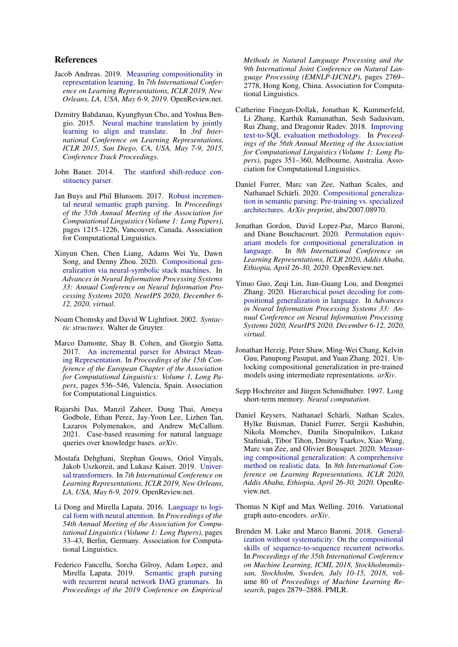### References

- <span id="page-8-5"></span>Jacob Andreas. 2019. [Measuring compositionality in](https://openreview.net/forum?id=HJz05o0qK7) [representation learning.](https://openreview.net/forum?id=HJz05o0qK7) In *7th International Conference on Learning Representations, ICLR 2019, New Orleans, LA, USA, May 6-9, 2019*. OpenReview.net.
- <span id="page-8-13"></span>Dzmitry Bahdanau, Kyunghyun Cho, and Yoshua Bengio. 2015. [Neural machine translation by jointly](http://arxiv.org/abs/1409.0473) [learning to align and translate.](http://arxiv.org/abs/1409.0473) In *3rd International Conference on Learning Representations, ICLR 2015, San Diego, CA, USA, May 7-9, 2015, Conference Track Proceedings*.
- <span id="page-8-9"></span>John Bauer. 2014. [The stanford shift-reduce con](https://nlp.stanford.edu/software/srparser.html)[stituency parser.](https://nlp.stanford.edu/software/srparser.html)
- <span id="page-8-16"></span>Jan Buys and Phil Blunsom. 2017. [Robust incremen](https://doi.org/10.18653/v1/P17-1112)[tal neural semantic graph parsing.](https://doi.org/10.18653/v1/P17-1112) In *Proceedings of the 55th Annual Meeting of the Association for Computational Linguistics (Volume 1: Long Papers)*, pages 1215–1226, Vancouver, Canada. Association for Computational Linguistics.
- <span id="page-8-2"></span>Xinyun Chen, Chen Liang, Adams Wei Yu, Dawn Song, and Denny Zhou. 2020. [Compositional gen](https://proceedings.neurips.cc/paper/2020/hash/12b1e42dc0746f22cf361267de07073f-Abstract.html)[eralization via neural-symbolic stack machines.](https://proceedings.neurips.cc/paper/2020/hash/12b1e42dc0746f22cf361267de07073f-Abstract.html) In *Advances in Neural Information Processing Systems 33: Annual Conference on Neural Information Processing Systems 2020, NeurIPS 2020, December 6- 12, 2020, virtual*.
- <span id="page-8-0"></span>Noam Chomsky and David W Lightfoot. 2002. *Syntactic structures*. Walter de Gruyter.
- <span id="page-8-17"></span>Marco Damonte, Shay B. Cohen, and Giorgio Satta. 2017. [An incremental parser for Abstract Mean](https://aclanthology.org/E17-1051)[ing Representation.](https://aclanthology.org/E17-1051) In *Proceedings of the 15th Conference of the European Chapter of the Association for Computational Linguistics: Volume 1, Long Papers*, pages 536–546, Valencia, Spain. Association for Computational Linguistics.
- <span id="page-8-11"></span>Rajarshi Das, Manzil Zaheer, Dung Thai, Ameya Godbole, Ethan Perez, Jay-Yoon Lee, Lizhen Tan, Lazaros Polymenakos, and Andrew McCallum. 2021. Case-based reasoning for natural language queries over knowledge bases. *arXiv*.
- <span id="page-8-14"></span>Mostafa Dehghani, Stephan Gouws, Oriol Vinyals, Jakob Uszkoreit, and Lukasz Kaiser. 2019. [Univer](https://openreview.net/forum?id=HyzdRiR9Y7)[sal transformers.](https://openreview.net/forum?id=HyzdRiR9Y7) In *7th International Conference on Learning Representations, ICLR 2019, New Orleans, LA, USA, May 6-9, 2019*. OpenReview.net.
- <span id="page-8-15"></span>Li Dong and Mirella Lapata. 2016. [Language to logi](https://doi.org/10.18653/v1/P16-1004)[cal form with neural attention.](https://doi.org/10.18653/v1/P16-1004) In *Proceedings of the 54th Annual Meeting of the Association for Computational Linguistics (Volume 1: Long Papers)*, pages 33–43, Berlin, Germany. Association for Computational Linguistics.
- <span id="page-8-18"></span>Federico Fancellu, Sorcha Gilroy, Adam Lopez, and Mirella Lapata. 2019. [Semantic graph parsing](https://doi.org/10.18653/v1/D19-1278) [with recurrent neural network DAG grammars.](https://doi.org/10.18653/v1/D19-1278) In *Proceedings of the 2019 Conference on Empirical*

*Methods in Natural Language Processing and the 9th International Joint Conference on Natural Language Processing (EMNLP-IJCNLP)*, pages 2769– 2778, Hong Kong, China. Association for Computational Linguistics.

- <span id="page-8-7"></span>Catherine Finegan-Dollak, Jonathan K. Kummerfeld, Li Zhang, Karthik Ramanathan, Sesh Sadasivam, Rui Zhang, and Dragomir Radev. 2018. [Improving](https://doi.org/10.18653/v1/P18-1033) [text-to-SQL evaluation methodology.](https://doi.org/10.18653/v1/P18-1033) In *Proceedings of the 56th Annual Meeting of the Association for Computational Linguistics (Volume 1: Long Papers)*, pages 351–360, Melbourne, Australia. Association for Computational Linguistics.
- <span id="page-8-4"></span>Daniel Furrer, Marc van Zee, Nathan Scales, and Nathanael Schärli. 2020. [Compositional generaliza](https://arxiv.org/abs/2007.08970)[tion in semantic parsing: Pre-training vs. specialized](https://arxiv.org/abs/2007.08970) [architectures.](https://arxiv.org/abs/2007.08970) *ArXiv preprint*, abs/2007.08970.
- <span id="page-8-19"></span>Jonathan Gordon, David Lopez-Paz, Marco Baroni, and Diane Bouchacourt. 2020. [Permutation equiv](https://openreview.net/forum?id=SylVNerFvr)[ariant models for compositional generalization in](https://openreview.net/forum?id=SylVNerFvr) [language.](https://openreview.net/forum?id=SylVNerFvr) In *8th International Conference on Learning Representations, ICLR 2020, Addis Ababa, Ethiopia, April 26-30, 2020*. OpenReview.net.
- <span id="page-8-10"></span>Yinuo Guo, Zeqi Lin, Jian-Guang Lou, and Dongmei Zhang. 2020. [Hierarchical poset decoding for com](https://proceedings.neurips.cc/paper/2020/hash/4d7e0d72898ae7ea3593eb5ebf20c744-Abstract.html)[positional generalization in language.](https://proceedings.neurips.cc/paper/2020/hash/4d7e0d72898ae7ea3593eb5ebf20c744-Abstract.html) In *Advances in Neural Information Processing Systems 33: Annual Conference on Neural Information Processing Systems 2020, NeurIPS 2020, December 6-12, 2020, virtual*.
- <span id="page-8-12"></span>Jonathan Herzig, Peter Shaw, Ming-Wei Chang, Kelvin Guu, Panupong Pasupat, and Yuan Zhang. 2021. Unlocking compositional generalization in pre-trained models using intermediate representations. *arXiv*.
- <span id="page-8-8"></span>Sepp Hochreiter and Jürgen Schmidhuber. 1997. Long short-term memory. *Neural computation*.
- <span id="page-8-3"></span>Daniel Keysers, Nathanael Schärli, Nathan Scales, Hylke Buisman, Daniel Furrer, Sergii Kashubin, Nikola Momchev, Danila Sinopalnikov, Lukasz Stafiniak, Tibor Tihon, Dmitry Tsarkov, Xiao Wang, Marc van Zee, and Olivier Bousquet. 2020. [Measur](https://openreview.net/forum?id=SygcCnNKwr)[ing compositional generalization: A comprehensive](https://openreview.net/forum?id=SygcCnNKwr) [method on realistic data.](https://openreview.net/forum?id=SygcCnNKwr) In *8th International Conference on Learning Representations, ICLR 2020, Addis Ababa, Ethiopia, April 26-30, 2020*. OpenReview.net.
- <span id="page-8-6"></span>Thomas N Kipf and Max Welling. 2016. Variational graph auto-encoders. *arXiv*.
- <span id="page-8-1"></span>Brenden M. Lake and Marco Baroni. 2018. [General](http://proceedings.mlr.press/v80/lake18a.html)[ization without systematicity: On the compositional](http://proceedings.mlr.press/v80/lake18a.html) [skills of sequence-to-sequence recurrent networks.](http://proceedings.mlr.press/v80/lake18a.html) In *Proceedings of the 35th International Conference on Machine Learning, ICML 2018, Stockholmsmässan, Stockholm, Sweden, July 10-15, 2018*, volume 80 of *Proceedings of Machine Learning Research*, pages 2879–2888. PMLR.